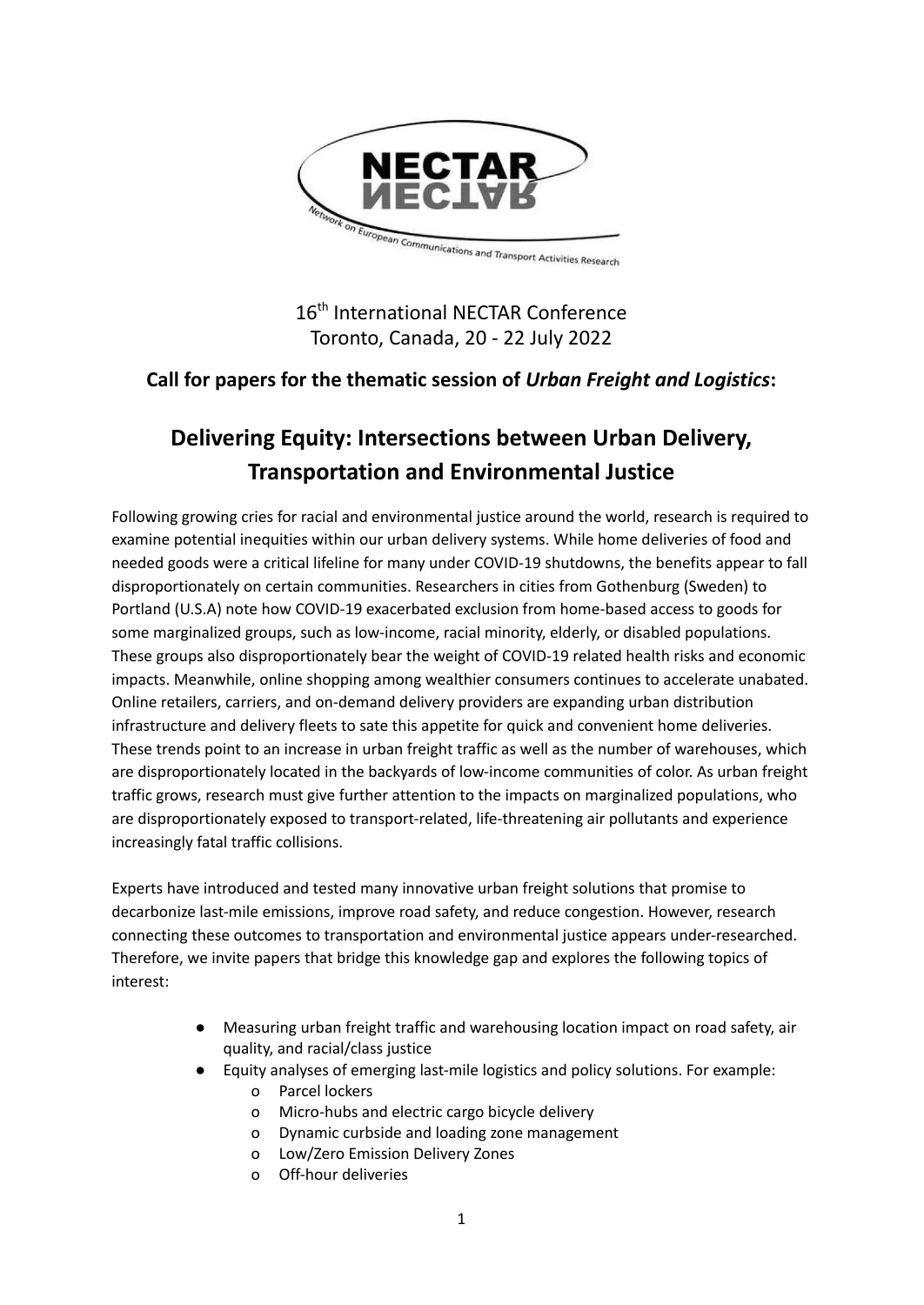

16<sup>th</sup> International NECTAR Conference Toronto, Canada, 20 - 22 July 2022

## **Call for papers for the thematic session of** *Urban Freight and Logistics***:**

# **Delivering Equity: Intersections between Urban Delivery, Transportation and Environmental Justice**

Following growing cries for racial and environmental justice around the world, research is required to examine potential inequities within our urban delivery systems. While home deliveries of food and needed goods were a critical lifeline for many under COVID-19 shutdowns, the benefits appear to fall disproportionately on certain communities. Researchers in cities from Gothenburg (Sweden) to Portland (U.S.A) note how COVID-19 exacerbated exclusion from home-based access to goods for some marginalized groups, such as low-income, racial minority, elderly, or disabled populations. These groups also disproportionately bear the weight of COVID-19 related health risks and economic impacts. Meanwhile, online shopping among wealthier consumers continues to accelerate unabated. Online retailers, carriers, and on-demand delivery providers are expanding urban distribution infrastructure and delivery fleets to sate this appetite for quick and convenient home deliveries. These trends point to an increase in urban freight traffic as well as the number of warehouses, which are disproportionately located in the backyards of low-income communities of color. As urban freight traffic grows, research must give further attention to the impacts on marginalized populations, who are disproportionately exposed to transport-related, life-threatening air pollutants and experience increasingly fatal traffic collisions.

Experts have introduced and tested many innovative urban freight solutions that promise to decarbonize last-mile emissions, improve road safety, and reduce congestion. However, research connecting these outcomes to transportation and environmental justice appears under-researched. Therefore, we invite papers that bridge this knowledge gap and explores the following topics of interest:

- Measuring urban freight traffic and warehousing location impact on road safety, air quality, and racial/class justice
- Equity analyses of emerging last-mile logistics and policy solutions. For example:
	- o Parcel lockers
	- o Micro-hubs and electric cargo bicycle delivery
	- o Dynamic curbside and loading zone management
	- o Low/Zero Emission Delivery Zones
	- o Off-hour deliveries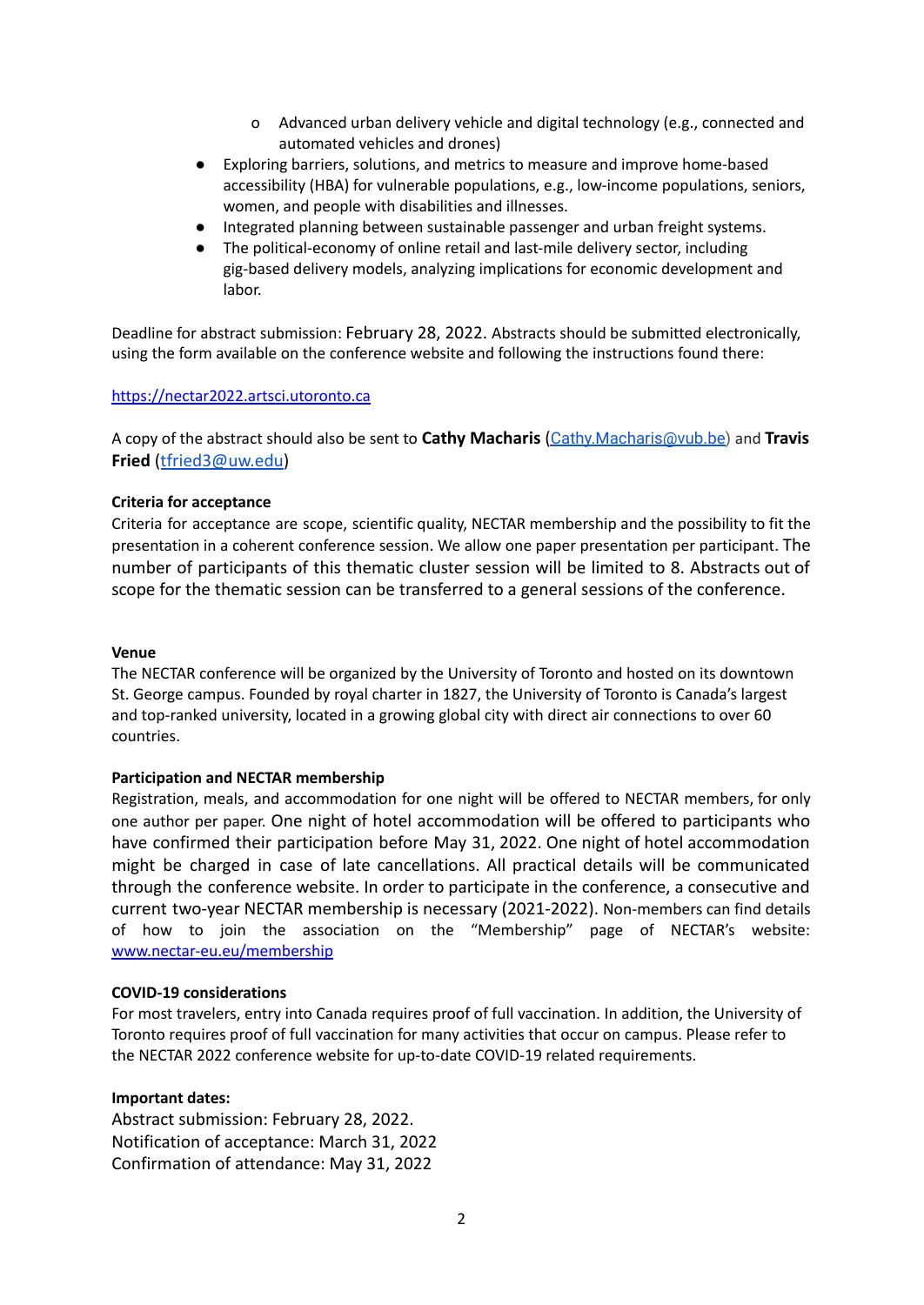- o Advanced urban delivery vehicle and digital technology (e.g., connected and automated vehicles and drones)
- Exploring barriers, solutions, and metrics to measure and improve home-based accessibility (HBA) for vulnerable populations, e.g., low-income populations, seniors, women, and people with disabilities and illnesses.
- Integrated planning between sustainable passenger and urban freight systems.
- The political-economy of online retail and last-mile delivery sector, including gig-based delivery models, analyzing implications for economic development and labor.

Deadline for abstract submission: February 28, 2022. Abstracts should be submitted electronically, using the form available on the conference website and following the instructions found there:

#### <https://nectar2022.artsci.utoronto.ca>

A copy of the abstract should also be sent to **Cathy Macharis** ([Cathy.Macharis@vub.be](mailto:Cathy.Macharis@vub.be)) and **Travis Fried** ([tfried3@uw.edu\)](mailto:tfried3@uw.edu)

#### **Criteria for acceptance**

Criteria for acceptance are scope, scientific quality, NECTAR membership and the possibility to fit the presentation in a coherent conference session. We allow one paper presentation per participant. The number of participants of this thematic cluster session will be limited to 8. Abstracts out of scope for the thematic session can be transferred to a general sessions of the conference.

#### **Venue**

The NECTAR conference will be organized by the University of Toronto and hosted on its downtown St. George campus. Founded by royal charter in 1827, the University of Toronto is Canada's largest and top-ranked university, located in a growing global city with direct air connections to over 60 countries.

#### **Participation and NECTAR membership**

Registration, meals, and accommodation for one night will be offered to NECTAR members, for only one author per paper. One night of hotel accommodation will be offered to participants who have confirmed their participation before May 31, 2022. One night of hotel accommodation might be charged in case of late cancellations. All practical details will be communicated through the conference website. In order to participate in the conference, a consecutive and current two-year NECTAR membership is necessary (2021-2022). Non-members can find details of how to join the association on the "Membership" page of NECTAR's website: [www.nectar-eu.eu/membership](http://www.nectar-eu.eu/membership)

#### **COVID-19 considerations**

For most travelers, entry into Canada requires proof of full vaccination. In addition, the University of Toronto requires proof of full vaccination for many activities that occur on campus. Please refer to the NECTAR 2022 conference website for up-to-date COVID-19 related requirements.

#### **Important dates:**

Abstract submission: February 28, 2022. Notification of acceptance: March 31, 2022 Confirmation of attendance: May 31, 2022